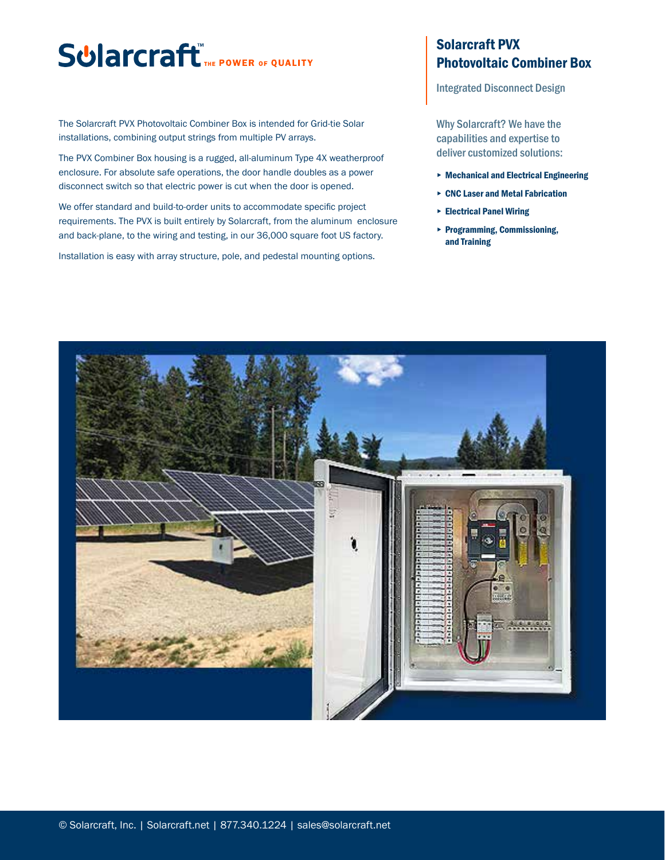## **Sularcraft** THE POWER OF QUALITY

The Solarcraft PVX Photovoltaic Combiner Box is intended for Grid-tie Solar installations, combining output strings from multiple PV arrays.

The PVX Combiner Box housing is a rugged, all-aluminum Type 4X weatherproof enclosure. For absolute safe operations, the door handle doubles as a power disconnect switch so that electric power is cut when the door is opened.

We offer standard and build-to-order units to accommodate specific project requirements. The PVX is built entirely by Solarcraft, from the aluminum enclosure and back-plane, to the wiring and testing, in our 36,000 square foot US factory.

Installation is easy with array structure, pole, and pedestal mounting options.

## Solarcraft PVX Photovoltaic Combiner Box

Integrated Disconnect Design

Why Solarcraft? We have the capabilities and expertise to deliver customized solutions:

- ▸ Mechanical and Electrical Engineering
- ▸ CNC Laser and Metal Fabrication
- ▸ Electrical Panel Wiring
- ▸ Programming, Commissioning, and Training